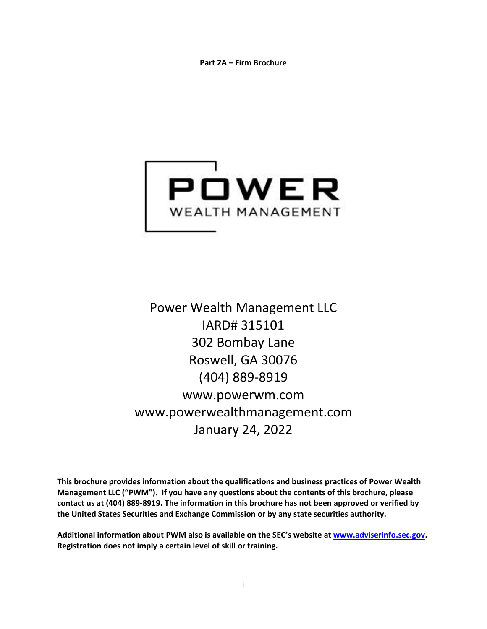**Part 2A – Firm Brochure**

<span id="page-0-1"></span><span id="page-0-0"></span>

Power Wealth Management LLC IARD# 315101 302 Bombay Lane Roswell, GA 30076 (404) 889-8919 [www.powerwm.com](http://www.powerwm.com/) [www.powerwealthmanagement.com](http://www.powerwealthmanagement.com/) January 24, 2022

**This brochure provides information about the qualifications and business practices of Power Wealth Management LLC ("PWM"). If you have any questions about the contents of this brochure, please contact us at (404) 889-8919. The information in this brochure has not been approved or verified by the United States Securities and Exchange Commission or by any state securities authority.** 

**Additional information about PWM also is available on the SEC's website at [www.adviserinfo.sec.gov.](http://www.adviserinfo.sec.gov/) Registration does not imply a certain level of skill or training.**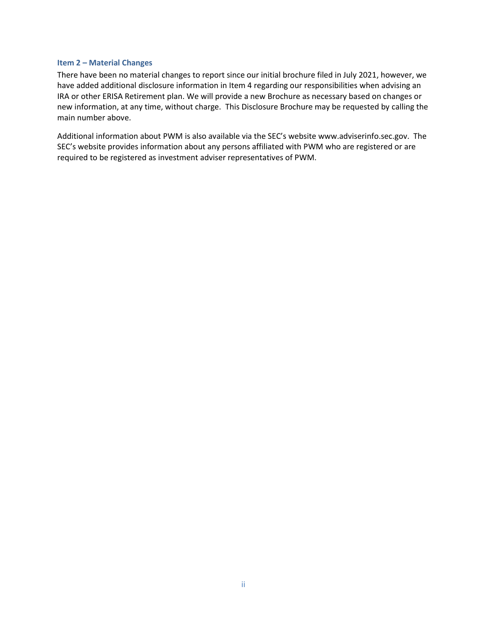### <span id="page-1-0"></span>**Item 2 – Material Changes**

There have been no material changes to report since our initial brochure filed in July 2021, however, we have added additional disclosure information in Item 4 regarding our responsibilities when advising an IRA or other ERISA Retirement plan. We will provide a new Brochure as necessary based on changes or new information, at any time, without charge. This Disclosure Brochure may be requested by calling the main number above.

Additional information about PWM is also available via the SEC's website [www.adviserinfo.sec.gov.](http://www.adviserinfo.sec.gov/) The SEC's website provides information about any persons affiliated with PWM who are registered or are required to be registered as investment adviser representatives of PWM.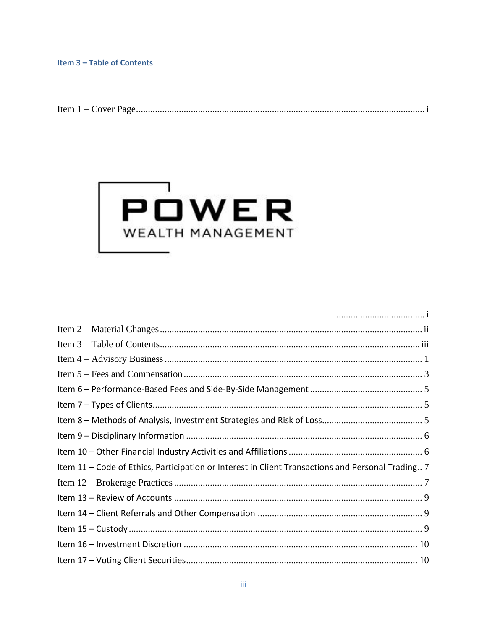<span id="page-2-0"></span>



| Item 11 – Code of Ethics, Participation or Interest in Client Transactions and Personal Trading 7 |  |
|---------------------------------------------------------------------------------------------------|--|
|                                                                                                   |  |
|                                                                                                   |  |
|                                                                                                   |  |
|                                                                                                   |  |
|                                                                                                   |  |
|                                                                                                   |  |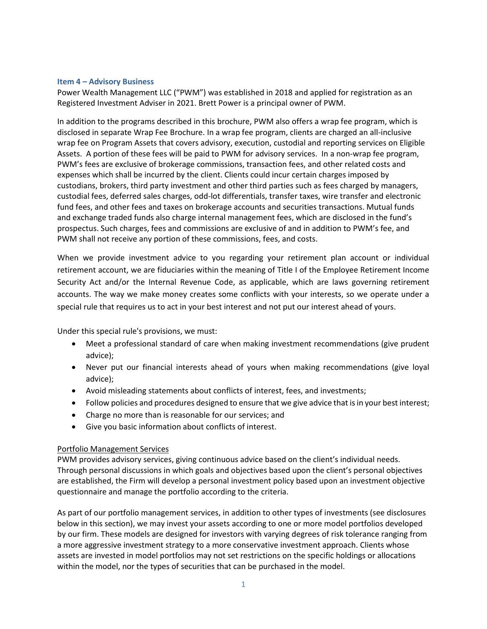### <span id="page-4-0"></span>**Item 4 – Advisory Business**

Power Wealth Management LLC ("PWM") was established in 2018 and applied for registration as an Registered Investment Adviser in 2021. Brett Power is a principal owner of PWM.

In addition to the programs described in this brochure, PWM also offers a wrap fee program, which is disclosed in separate Wrap Fee Brochure. In a wrap fee program, clients are charged an all-inclusive wrap fee on Program Assets that covers advisory, execution, custodial and reporting services on Eligible Assets. A portion of these fees will be paid to PWM for advisory services. In a non-wrap fee program, PWM's fees are exclusive of brokerage commissions, transaction fees, and other related costs and expenses which shall be incurred by the client. Clients could incur certain charges imposed by custodians, brokers, third party investment and other third parties such as fees charged by managers, custodial fees, deferred sales charges, odd-lot differentials, transfer taxes, wire transfer and electronic fund fees, and other fees and taxes on brokerage accounts and securities transactions. Mutual funds and exchange traded funds also charge internal management fees, which are disclosed in the fund's prospectus. Such charges, fees and commissions are exclusive of and in addition to PWM's fee, and PWM shall not receive any portion of these commissions, fees, and costs.

When we provide investment advice to you regarding your retirement plan account or individual retirement account, we are fiduciaries within the meaning of Title I of the Employee Retirement Income Security Act and/or the Internal Revenue Code, as applicable, which are laws governing retirement accounts. The way we make money creates some conflicts with your interests, so we operate under a special rule that requires us to act in your best interest and not put our interest ahead of yours.

Under this special rule's provisions, we must:

- Meet a professional standard of care when making investment recommendations (give prudent advice);
- Never put our financial interests ahead of yours when making recommendations (give loyal advice);
- Avoid misleading statements about conflicts of interest, fees, and investments;
- Follow policies and procedures designed to ensure that we give advice that is in your best interest;
- Charge no more than is reasonable for our services; and
- Give you basic information about conflicts of interest.

# Portfolio Management Services

PWM provides advisory services, giving continuous advice based on the client's individual needs. Through personal discussions in which goals and objectives based upon the client's personal objectives are established, the Firm will develop a personal investment policy based upon an investment objective questionnaire and manage the portfolio according to the criteria.

As part of our portfolio management services, in addition to other types of investments (see disclosures below in this section), we may invest your assets according to one or more model portfolios developed by our firm. These models are designed for investors with varying degrees of risk tolerance ranging from a more aggressive investment strategy to a more conservative investment approach. Clients whose assets are invested in model portfolios may not set restrictions on the specific holdings or allocations within the model, nor the types of securities that can be purchased in the model.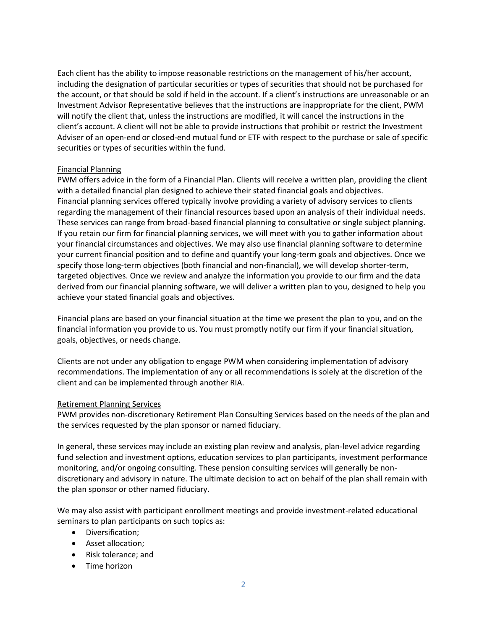Each client has the ability to impose reasonable restrictions on the management of his/her account, including the designation of particular securities or types of securities that should not be purchased for the account, or that should be sold if held in the account. If a client's instructions are unreasonable or an Investment Advisor Representative believes that the instructions are inappropriate for the client, PWM will notify the client that, unless the instructions are modified, it will cancel the instructions in the client's account. A client will not be able to provide instructions that prohibit or restrict the Investment Adviser of an open-end or closed-end mutual fund or ETF with respect to the purchase or sale of specific securities or types of securities within the fund.

# Financial Planning

PWM offers advice in the form of a Financial Plan. Clients will receive a written plan, providing the client with a detailed financial plan designed to achieve their stated financial goals and objectives. Financial planning services offered typically involve providing a variety of advisory services to clients regarding the management of their financial resources based upon an analysis of their individual needs. These services can range from broad-based financial planning to consultative or single subject planning. If you retain our firm for financial planning services, we will meet with you to gather information about your financial circumstances and objectives. We may also use financial planning software to determine your current financial position and to define and quantify your long-term goals and objectives. Once we specify those long-term objectives (both financial and non-financial), we will develop shorter-term, targeted objectives. Once we review and analyze the information you provide to our firm and the data derived from our financial planning software, we will deliver a written plan to you, designed to help you achieve your stated financial goals and objectives.

Financial plans are based on your financial situation at the time we present the plan to you, and on the financial information you provide to us. You must promptly notify our firm if your financial situation, goals, objectives, or needs change.

Clients are not under any obligation to engage PWM when considering implementation of advisory recommendations. The implementation of any or all recommendations is solely at the discretion of the client and can be implemented through another RIA.

# Retirement Planning Services

PWM provides non-discretionary Retirement Plan Consulting Services based on the needs of the plan and the services requested by the plan sponsor or named fiduciary.

In general, these services may include an existing plan review and analysis, plan-level advice regarding fund selection and investment options, education services to plan participants, investment performance monitoring, and/or ongoing consulting. These pension consulting services will generally be nondiscretionary and advisory in nature. The ultimate decision to act on behalf of the plan shall remain with the plan sponsor or other named fiduciary.

We may also assist with participant enrollment meetings and provide investment-related educational seminars to plan participants on such topics as:

- Diversification;
- Asset allocation;
- Risk tolerance; and
- Time horizon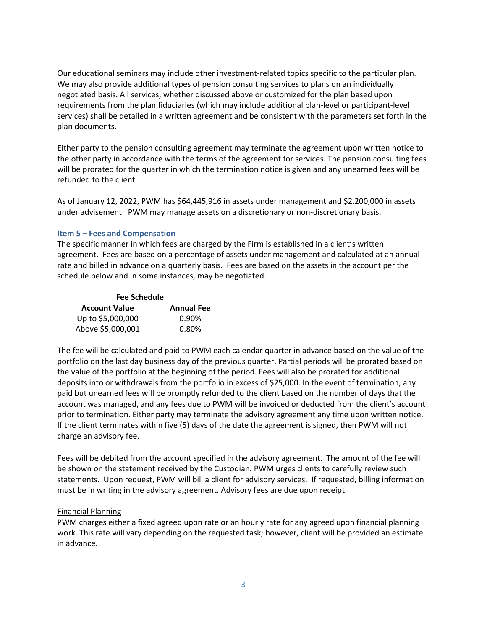Our educational seminars may include other investment-related topics specific to the particular plan. We may also provide additional types of pension consulting services to plans on an individually negotiated basis. All services, whether discussed above or customized for the plan based upon requirements from the plan fiduciaries (which may include additional plan-level or participant-level services) shall be detailed in a written agreement and be consistent with the parameters set forth in the plan documents.

Either party to the pension consulting agreement may terminate the agreement upon written notice to the other party in accordance with the terms of the agreement for services. The pension consulting fees will be prorated for the quarter in which the termination notice is given and any unearned fees will be refunded to the client.

As of January 12, 2022, PWM has \$64,445,916 in assets under management and \$2,200,000 in assets under advisement. PWM may manage assets on a discretionary or non-discretionary basis.

# <span id="page-6-0"></span>**Item 5 – Fees and Compensation**

The specific manner in which fees are charged by the Firm is established in a client's written agreement. Fees are based on a percentage of assets under management and calculated at an annual rate and billed in advance on a quarterly basis. Fees are based on the assets in the account per the schedule below and in some instances, may be negotiated.

| <b>Fee Schedule</b>  |                   |  |  |  |
|----------------------|-------------------|--|--|--|
| <b>Account Value</b> | <b>Annual Fee</b> |  |  |  |
| Up to \$5,000,000    | 0.90%             |  |  |  |
| Above \$5,000,001    | 0.80%             |  |  |  |

The fee will be calculated and paid to PWM each calendar quarter in advance based on the value of the portfolio on the last day business day of the previous quarter. Partial periods will be prorated based on the value of the portfolio at the beginning of the period. Fees will also be prorated for additional deposits into or withdrawals from the portfolio in excess of \$25,000. In the event of termination, any paid but unearned fees will be promptly refunded to the client based on the number of days that the account was managed, and any fees due to PWM will be invoiced or deducted from the client's account prior to termination. Either party may terminate the advisory agreement any time upon written notice. If the client terminates within five (5) days of the date the agreement is signed, then PWM will not charge an advisory fee.

Fees will be debited from the account specified in the advisory agreement. The amount of the fee will be shown on the statement received by the Custodian. PWM urges clients to carefully review such statements. Upon request, PWM will bill a client for advisory services. If requested, billing information must be in writing in the advisory agreement. Advisory fees are due upon receipt.

### Financial Planning

PWM charges either a fixed agreed upon rate or an hourly rate for any agreed upon financial planning work. This rate will vary depending on the requested task; however, client will be provided an estimate in advance.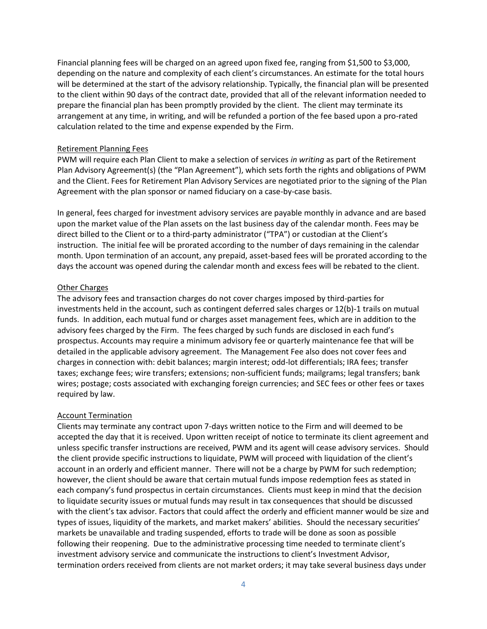Financial planning fees will be charged on an agreed upon fixed fee, ranging from \$1,500 to \$3,000, depending on the nature and complexity of each client's circumstances. An estimate for the total hours will be determined at the start of the advisory relationship. Typically, the financial plan will be presented to the client within 90 days of the contract date, provided that all of the relevant information needed to prepare the financial plan has been promptly provided by the client. The client may terminate its arrangement at any time, in writing, and will be refunded a portion of the fee based upon a pro-rated calculation related to the time and expense expended by the Firm.

## Retirement Planning Fees

PWM will require each Plan Client to make a selection of services *in writing* as part of the Retirement Plan Advisory Agreement(s) (the "Plan Agreement"), which sets forth the rights and obligations of PWM and the Client. Fees for Retirement Plan Advisory Services are negotiated prior to the signing of the Plan Agreement with the plan sponsor or named fiduciary on a case-by-case basis.

In general, fees charged for investment advisory services are payable monthly in advance and are based upon the market value of the Plan assets on the last business day of the calendar month. Fees may be direct billed to the Client or to a third-party administrator ("TPA") or custodian at the Client's instruction. The initial fee will be prorated according to the number of days remaining in the calendar month. Upon termination of an account, any prepaid, asset-based fees will be prorated according to the days the account was opened during the calendar month and excess fees will be rebated to the client.

## Other Charges

The advisory fees and transaction charges do not cover charges imposed by third-parties for investments held in the account, such as contingent deferred sales charges or 12(b)-1 trails on mutual funds. In addition, each mutual fund or charges asset management fees, which are in addition to the advisory fees charged by the Firm. The fees charged by such funds are disclosed in each fund's prospectus. Accounts may require a minimum advisory fee or quarterly maintenance fee that will be detailed in the applicable advisory agreement. The Management Fee also does not cover fees and charges in connection with: debit balances; margin interest; odd-lot differentials; IRA fees; transfer taxes; exchange fees; wire transfers; extensions; non-sufficient funds; mailgrams; legal transfers; bank wires; postage; costs associated with exchanging foreign currencies; and SEC fees or other fees or taxes required by law.

# Account Termination

Clients may terminate any contract upon 7-days written notice to the Firm and will deemed to be accepted the day that it is received. Upon written receipt of notice to terminate its client agreement and unless specific transfer instructions are received, PWM and its agent will cease advisory services. Should the client provide specific instructions to liquidate, PWM will proceed with liquidation of the client's account in an orderly and efficient manner. There will not be a charge by PWM for such redemption; however, the client should be aware that certain mutual funds impose redemption fees as stated in each company's fund prospectus in certain circumstances. Clients must keep in mind that the decision to liquidate security issues or mutual funds may result in tax consequences that should be discussed with the client's tax advisor. Factors that could affect the orderly and efficient manner would be size and types of issues, liquidity of the markets, and market makers' abilities. Should the necessary securities' markets be unavailable and trading suspended, efforts to trade will be done as soon as possible following their reopening. Due to the administrative processing time needed to terminate client's investment advisory service and communicate the instructions to client's Investment Advisor, termination orders received from clients are not market orders; it may take several business days under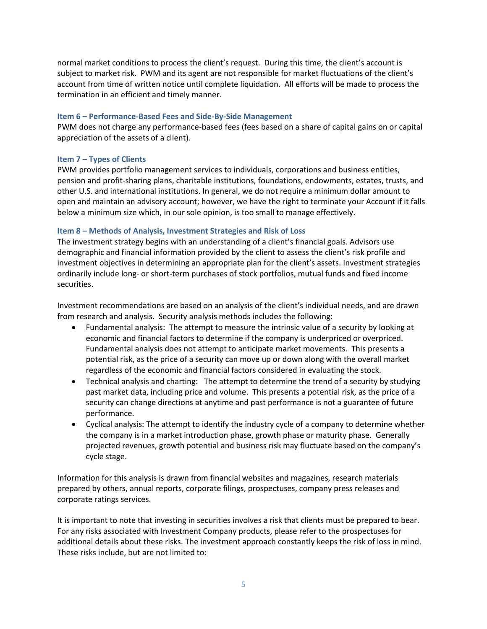normal market conditions to process the client's request. During this time, the client's account is subject to market risk. PWM and its agent are not responsible for market fluctuations of the client's account from time of written notice until complete liquidation. All efforts will be made to process the termination in an efficient and timely manner.

## <span id="page-8-0"></span>**Item 6 – Performance-Based Fees and Side-By-Side Management**

PWM does not charge any performance-based fees (fees based on a share of capital gains on or capital appreciation of the assets of a client).

# <span id="page-8-1"></span>**Item 7 – Types of Clients**

PWM provides portfolio management services to individuals, corporations and business entities, pension and profit-sharing plans, charitable institutions, foundations, endowments, estates, trusts, and other U.S. and international institutions. In general, we do not require a minimum dollar amount to open and maintain an advisory account; however, we have the right to terminate your Account if it falls below a minimum size which, in our sole opinion, is too small to manage effectively.

# <span id="page-8-2"></span>**Item 8 – Methods of Analysis, Investment Strategies and Risk of Loss**

The investment strategy begins with an understanding of a client's financial goals. Advisors use demographic and financial information provided by the client to assess the client's risk profile and investment objectives in determining an appropriate plan for the client's assets. Investment strategies ordinarily include long- or short-term purchases of stock portfolios, mutual funds and fixed income securities.

Investment recommendations are based on an analysis of the client's individual needs, and are drawn from research and analysis. Security analysis methods includes the following:

- Fundamental analysis: The attempt to measure the intrinsic value of a security by looking at economic and financial factors to determine if the company is underpriced or overpriced. Fundamental analysis does not attempt to anticipate market movements. This presents a potential risk, as the price of a security can move up or down along with the overall market regardless of the economic and financial factors considered in evaluating the stock.
- Technical analysis and charting: The attempt to determine the trend of a security by studying past market data, including price and volume. This presents a potential risk, as the price of a security can change directions at anytime and past performance is not a guarantee of future performance.
- Cyclical analysis: The attempt to identify the industry cycle of a company to determine whether the company is in a market introduction phase, growth phase or maturity phase. Generally projected revenues, growth potential and business risk may fluctuate based on the company's cycle stage.

Information for this analysis is drawn from financial websites and magazines, research materials prepared by others, annual reports, corporate filings, prospectuses, company press releases and corporate ratings services.

It is important to note that investing in securities involves a risk that clients must be prepared to bear. For any risks associated with Investment Company products, please refer to the prospectuses for additional details about these risks. The investment approach constantly keeps the risk of loss in mind. These risks include, but are not limited to: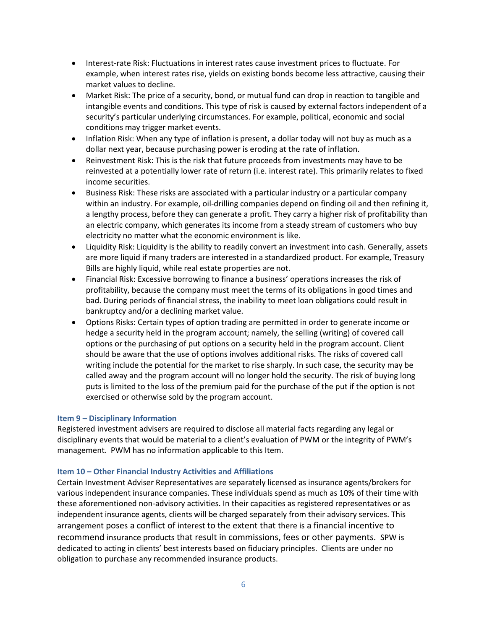- Interest-rate Risk: Fluctuations in interest rates cause investment prices to fluctuate. For example, when interest rates rise, yields on existing bonds become less attractive, causing their market values to decline.
- Market Risk: The price of a security, bond, or mutual fund can drop in reaction to tangible and intangible events and conditions. This type of risk is caused by external factors independent of a security's particular underlying circumstances. For example, political, economic and social conditions may trigger market events.
- Inflation Risk: When any type of inflation is present, a dollar today will not buy as much as a dollar next year, because purchasing power is eroding at the rate of inflation.
- Reinvestment Risk: This is the risk that future proceeds from investments may have to be reinvested at a potentially lower rate of return (i.e. interest rate). This primarily relates to fixed income securities.
- Business Risk: These risks are associated with a particular industry or a particular company within an industry. For example, oil-drilling companies depend on finding oil and then refining it, a lengthy process, before they can generate a profit. They carry a higher risk of profitability than an electric company, which generates its income from a steady stream of customers who buy electricity no matter what the economic environment is like.
- Liquidity Risk: Liquidity is the ability to readily convert an investment into cash. Generally, assets are more liquid if many traders are interested in a standardized product. For example, Treasury Bills are highly liquid, while real estate properties are not.
- Financial Risk: Excessive borrowing to finance a business' operations increases the risk of profitability, because the company must meet the terms of its obligations in good times and bad. During periods of financial stress, the inability to meet loan obligations could result in bankruptcy and/or a declining market value.
- Options Risks: Certain types of option trading are permitted in order to generate income or hedge a security held in the program account; namely, the selling (writing) of covered call options or the purchasing of put options on a security held in the program account. Client should be aware that the use of options involves additional risks. The risks of covered call writing include the potential for the market to rise sharply. In such case, the security may be called away and the program account will no longer hold the security. The risk of buying long puts is limited to the loss of the premium paid for the purchase of the put if the option is not exercised or otherwise sold by the program account.

### <span id="page-9-0"></span>**Item 9 – Disciplinary Information**

Registered investment advisers are required to disclose all material facts regarding any legal or disciplinary events that would be material to a client's evaluation of PWM or the integrity of PWM's management. PWM has no information applicable to this Item.

### <span id="page-9-1"></span>**Item 10 – Other Financial Industry Activities and Affiliations**

Certain Investment Adviser Representatives are separately licensed as insurance agents/brokers for various independent insurance companies. These individuals spend as much as 10% of their time with these aforementioned non-advisory activities. In their capacities as registered representatives or as independent insurance agents, clients will be charged separately from their advisory services. This arrangement poses a conflict of interest to the extent that there is a financial incentive to recommend insurance products that result in commissions, fees or other payments. SPW is dedicated to acting in clients' best interests based on fiduciary principles. Clients are under no obligation to purchase any recommended insurance products.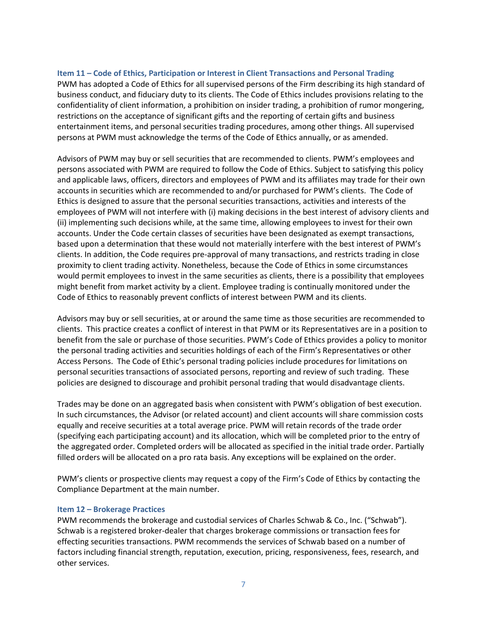## <span id="page-10-0"></span>**Item 11 – Code of Ethics, Participation or Interest in Client Transactions and Personal Trading**

PWM has adopted a Code of Ethics for all supervised persons of the Firm describing its high standard of business conduct, and fiduciary duty to its clients. The Code of Ethics includes provisions relating to the confidentiality of client information, a prohibition on insider trading, a prohibition of rumor mongering, restrictions on the acceptance of significant gifts and the reporting of certain gifts and business entertainment items, and personal securities trading procedures, among other things. All supervised persons at PWM must acknowledge the terms of the Code of Ethics annually, or as amended.

Advisors of PWM may buy or sell securities that are recommended to clients. PWM's employees and persons associated with PWM are required to follow the Code of Ethics. Subject to satisfying this policy and applicable laws, officers, directors and employees of PWM and its affiliates may trade for their own accounts in securities which are recommended to and/or purchased for PWM's clients. The Code of Ethics is designed to assure that the personal securities transactions, activities and interests of the employees of PWM will not interfere with (i) making decisions in the best interest of advisory clients and (ii) implementing such decisions while, at the same time, allowing employees to invest for their own accounts. Under the Code certain classes of securities have been designated as exempt transactions, based upon a determination that these would not materially interfere with the best interest of PWM's clients. In addition, the Code requires pre-approval of many transactions, and restricts trading in close proximity to client trading activity. Nonetheless, because the Code of Ethics in some circumstances would permit employees to invest in the same securities as clients, there is a possibility that employees might benefit from market activity by a client. Employee trading is continually monitored under the Code of Ethics to reasonably prevent conflicts of interest between PWM and its clients.

Advisors may buy or sell securities, at or around the same time as those securities are recommended to clients. This practice creates a conflict of interest in that PWM or its Representatives are in a position to benefit from the sale or purchase of those securities. PWM's Code of Ethics provides a policy to monitor the personal trading activities and securities holdings of each of the Firm's Representatives or other Access Persons. The Code of Ethic's personal trading policies include procedures for limitations on personal securities transactions of associated persons, reporting and review of such trading. These policies are designed to discourage and prohibit personal trading that would disadvantage clients.

Trades may be done on an aggregated basis when consistent with PWM's obligation of best execution. In such circumstances, the Advisor (or related account) and client accounts will share commission costs equally and receive securities at a total average price. PWM will retain records of the trade order (specifying each participating account) and its allocation, which will be completed prior to the entry of the aggregated order. Completed orders will be allocated as specified in the initial trade order. Partially filled orders will be allocated on a pro rata basis. Any exceptions will be explained on the order.

PWM's clients or prospective clients may request a copy of the Firm's Code of Ethics by contacting the Compliance Department at the main number.

### <span id="page-10-1"></span>**Item 12 – Brokerage Practices**

PWM recommends the brokerage and custodial services of Charles Schwab & Co., Inc. ("Schwab"). Schwab is a registered broker-dealer that charges brokerage commissions or transaction fees for effecting securities transactions. PWM recommends the services of Schwab based on a number of factors including financial strength, reputation, execution, pricing, responsiveness, fees, research, and other services.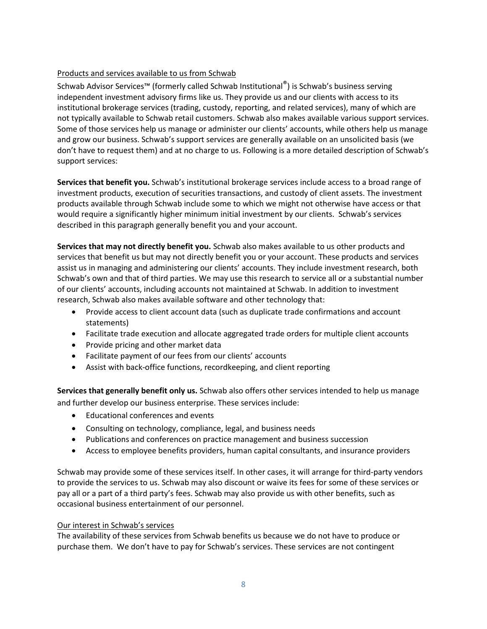# Products and services available to us from Schwab

Schwab Advisor Services™ (formerly called Schwab Institutional®) is Schwab's business serving independent investment advisory firms like us. They provide us and our clients with access to its institutional brokerage services (trading, custody, reporting, and related services), many of which are not typically available to Schwab retail customers. Schwab also makes available various support services. Some of those services help us manage or administer our clients' accounts, while others help us manage and grow our business. Schwab's support services are generally available on an unsolicited basis (we don't have to request them) and at no charge to us. Following is a more detailed description of Schwab's support services:

**Services that benefit you.** Schwab's institutional brokerage services include access to a broad range of investment products, execution of securities transactions, and custody of client assets. The investment products available through Schwab include some to which we might not otherwise have access or that would require a significantly higher minimum initial investment by our clients. Schwab's services described in this paragraph generally benefit you and your account.

**Services that may not directly benefit you.** Schwab also makes available to us other products and services that benefit us but may not directly benefit you or your account. These products and services assist us in managing and administering our clients' accounts. They include investment research, both Schwab's own and that of third parties. We may use this research to service all or a substantial number of our clients' accounts, including accounts not maintained at Schwab. In addition to investment research, Schwab also makes available software and other technology that:

- Provide access to client account data (such as duplicate trade confirmations and account statements)
- Facilitate trade execution and allocate aggregated trade orders for multiple client accounts
- Provide pricing and other market data
- Facilitate payment of our fees from our clients' accounts
- Assist with back-office functions, recordkeeping, and client reporting

**Services that generally benefit only us.** Schwab also offers other services intended to help us manage and further develop our business enterprise. These services include:

- Educational conferences and events
- Consulting on technology, compliance, legal, and business needs
- Publications and conferences on practice management and business succession
- Access to employee benefits providers, human capital consultants, and insurance providers

Schwab may provide some of these services itself. In other cases, it will arrange for third-party vendors to provide the services to us. Schwab may also discount or waive its fees for some of these services or pay all or a part of a third party's fees. Schwab may also provide us with other benefits, such as occasional business entertainment of our personnel.

# Our interest in Schwab's services

The availability of these services from Schwab benefits us because we do not have to produce or purchase them. We don't have to pay for Schwab's services. These services are not contingent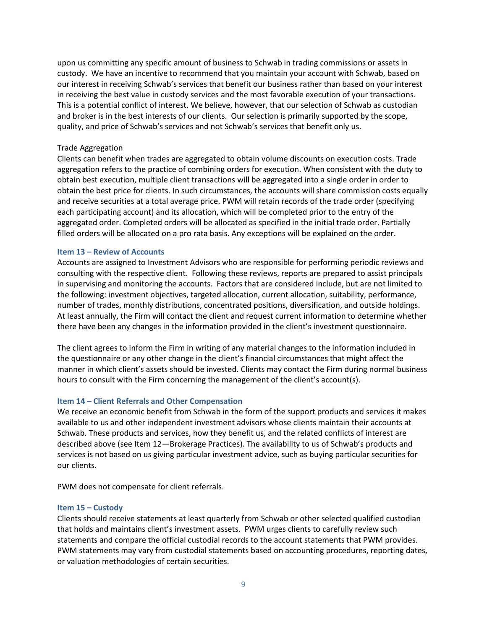upon us committing any specific amount of business to Schwab in trading commissions or assets in custody. We have an incentive to recommend that you maintain your account with Schwab, based on our interest in receiving Schwab's services that benefit our business rather than based on your interest in receiving the best value in custody services and the most favorable execution of your transactions. This is a potential conflict of interest. We believe, however, that our selection of Schwab as custodian and broker is in the best interests of our clients. Our selection is primarily supported by the scope, quality, and price of Schwab's services and not Schwab's services that benefit only us.

## Trade Aggregation

Clients can benefit when trades are aggregated to obtain volume discounts on execution costs. Trade aggregation refers to the practice of combining orders for execution. When consistent with the duty to obtain best execution, multiple client transactions will be aggregated into a single order in order to obtain the best price for clients. In such circumstances, the accounts will share commission costs equally and receive securities at a total average price. PWM will retain records of the trade order (specifying each participating account) and its allocation, which will be completed prior to the entry of the aggregated order. Completed orders will be allocated as specified in the initial trade order. Partially filled orders will be allocated on a pro rata basis. Any exceptions will be explained on the order.

### <span id="page-12-0"></span>**Item 13 – Review of Accounts**

Accounts are assigned to Investment Advisors who are responsible for performing periodic reviews and consulting with the respective client. Following these reviews, reports are prepared to assist principals in supervising and monitoring the accounts. Factors that are considered include, but are not limited to the following: investment objectives, targeted allocation, current allocation, suitability, performance, number of trades, monthly distributions, concentrated positions, diversification, and outside holdings. At least annually, the Firm will contact the client and request current information to determine whether there have been any changes in the information provided in the client's investment questionnaire.

The client agrees to inform the Firm in writing of any material changes to the information included in the questionnaire or any other change in the client's financial circumstances that might affect the manner in which client's assets should be invested. Clients may contact the Firm during normal business hours to consult with the Firm concerning the management of the client's account(s).

### <span id="page-12-1"></span>**Item 14 – Client Referrals and Other Compensation**

We receive an economic benefit from Schwab in the form of the support products and services it makes available to us and other independent investment advisors whose clients maintain their accounts at Schwab. These products and services, how they benefit us, and the related conflicts of interest are described above (see Item 12—Brokerage Practices). The availability to us of Schwab's products and services is not based on us giving particular investment advice, such as buying particular securities for our clients.

PWM does not compensate for client referrals.

#### <span id="page-12-2"></span>**Item 15 – Custody**

Clients should receive statements at least quarterly from Schwab or other selected qualified custodian that holds and maintains client's investment assets. PWM urges clients to carefully review such statements and compare the official custodial records to the account statements that PWM provides. PWM statements may vary from custodial statements based on accounting procedures, reporting dates, or valuation methodologies of certain securities.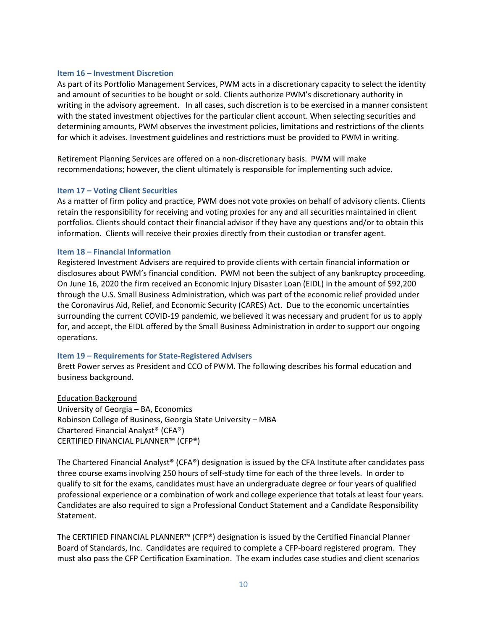#### <span id="page-13-0"></span>**Item 16 – Investment Discretion**

As part of its Portfolio Management Services, PWM acts in a discretionary capacity to select the identity and amount of securities to be bought or sold. Clients authorize PWM's discretionary authority in writing in the advisory agreement. In all cases, such discretion is to be exercised in a manner consistent with the stated investment objectives for the particular client account. When selecting securities and determining amounts, PWM observes the investment policies, limitations and restrictions of the clients for which it advises. Investment guidelines and restrictions must be provided to PWM in writing.

Retirement Planning Services are offered on a non-discretionary basis. PWM will make recommendations; however, the client ultimately is responsible for implementing such advice.

#### <span id="page-13-1"></span>**Item 17 – Voting Client Securities**

As a matter of firm policy and practice, PWM does not vote proxies on behalf of advisory clients. Clients retain the responsibility for receiving and voting proxies for any and all securities maintained in client portfolios. Clients should contact their financial advisor if they have any questions and/or to obtain this information. Clients will receive their proxies directly from their custodian or transfer agent.

#### <span id="page-13-2"></span>**Item 18 – Financial Information**

Registered Investment Advisers are required to provide clients with certain financial information or disclosures about PWM's financial condition. PWM not been the subject of any bankruptcy proceeding. On June 16, 2020 the firm received an Economic Injury Disaster Loan (EIDL) in the amount of \$92,200 through the U.S. Small Business Administration, which was part of the economic relief provided under the Coronavirus Aid, Relief, and Economic Security (CARES) Act. Due to the economic uncertainties surrounding the current COVID-19 pandemic, we believed it was necessary and prudent for us to apply for, and accept, the EIDL offered by the Small Business Administration in order to support our ongoing operations.

### <span id="page-13-3"></span>**Item 19 – Requirements for State-Registered Advisers**

Brett Power serves as President and CCO of PWM. The following describes his formal education and business background.

Education Background University of Georgia – BA, Economics Robinson College of Business, Georgia State University – MBA Chartered Financial Analyst® (CFA®) CERTIFIED FINANCIAL PLANNER™ (CFP®)

The Chartered Financial Analyst<sup>®</sup> (CFA®) designation is issued by the CFA Institute after candidates pass three course exams involving 250 hours of self-study time for each of the three levels. In order to qualify to sit for the exams, candidates must have an undergraduate degree or four years of qualified professional experience or a combination of work and college experience that totals at least four years. Candidates are also required to sign a Professional Conduct Statement and a Candidate Responsibility Statement.

The CERTIFIED FINANCIAL PLANNER™ (CFP®) designation is issued by the Certified Financial Planner Board of Standards, Inc. Candidates are required to complete a CFP-board registered program. They must also pass the CFP Certification Examination. The exam includes case studies and client scenarios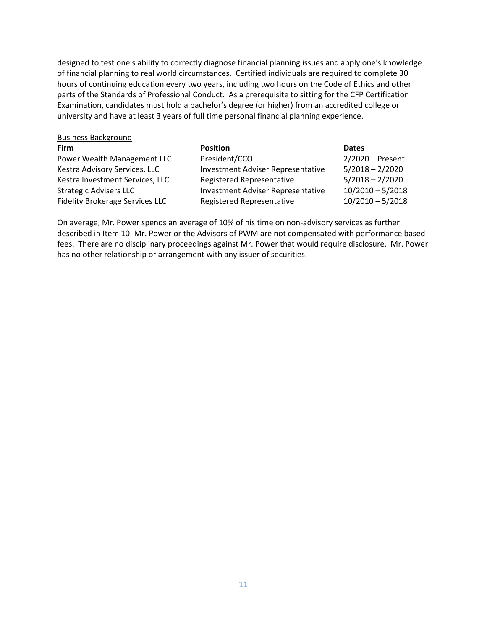designed to test one's ability to correctly diagnose financial planning issues and apply one's knowledge of financial planning to real world circumstances. Certified individuals are required to complete 30 hours of continuing education every two years, including two hours on the Code of Ethics and other parts of the Standards of Professional Conduct. As a prerequisite to sitting for the CFP Certification Examination, candidates must hold a bachelor's degree (or higher) from an accredited college or university and have at least 3 years of full time personal financial planning experience.

| <b>Firm</b>                            | <b>Position</b>                          | <b>Dates</b>       |
|----------------------------------------|------------------------------------------|--------------------|
| Power Wealth Management LLC            | President/CCO                            | $2/2020$ – Present |
| Kestra Advisory Services, LLC          | <b>Investment Adviser Representative</b> | $5/2018 - 2/2020$  |
| Kestra Investment Services, LLC        | <b>Registered Representative</b>         | $5/2018 - 2/2020$  |
| <b>Strategic Advisers LLC</b>          | <b>Investment Adviser Representative</b> | $10/2010 - 5/2018$ |
| <b>Fidelity Brokerage Services LLC</b> | Registered Representative                | $10/2010 - 5/2018$ |
|                                        |                                          |                    |

On average, Mr. Power spends an average of 10% of his time on non-advisory services as further described in Item 10. Mr. Power or the Advisors of PWM are not compensated with performance based fees. There are no disciplinary proceedings against Mr. Power that would require disclosure. Mr. Power has no other relationship or arrangement with any issuer of securities.